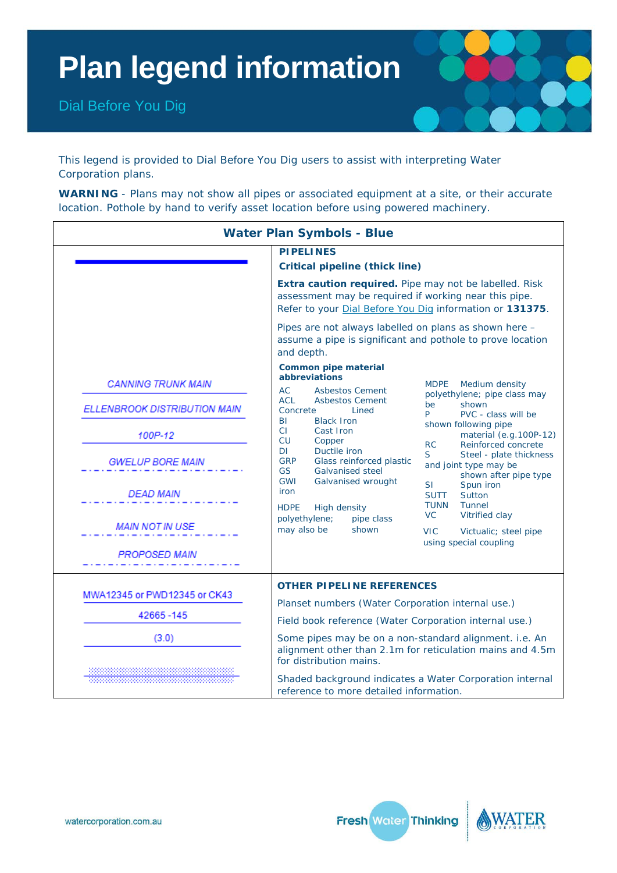# **Plan legend information**

Dial Before You Dig



This legend is provided to [Dial Before You Dig](http://www.1100.com.au/) users to assist with interpreting Water Corporation plans.

WARNING - Plans may not show all pipes or associated equipment at a site, or their accurate location. Pothole by hand to verify asset location before using powered machinery.

| <b>Water Plan Symbols - Blue</b> |                                                                                                                                                                                                          |                                                                                                                                  |  |  |  |  |
|----------------------------------|----------------------------------------------------------------------------------------------------------------------------------------------------------------------------------------------------------|----------------------------------------------------------------------------------------------------------------------------------|--|--|--|--|
|                                  | <b>PIPELINES</b><br><b>Critical pipeline (thick line)</b>                                                                                                                                                |                                                                                                                                  |  |  |  |  |
|                                  | Extra caution required. Pipe may not be labelled. Risk<br>assessment may be required if working near this pipe.<br>Refer to your Dial Before You Dig information or 131375.                              |                                                                                                                                  |  |  |  |  |
|                                  | Pipes are not always labelled on plans as shown here -<br>assume a pipe is significant and pothole to prove location<br>and depth.                                                                       |                                                                                                                                  |  |  |  |  |
| <b>CANNING TRUNK MAIN</b>        | <b>Common pipe material</b><br><i>abbreviations</i><br>AC.<br><b>Asbestos Cement</b>                                                                                                                     | <b>MDPE</b><br>Medium density                                                                                                    |  |  |  |  |
| ELLENBROOK DISTRIBUTION MAIN     | <b>ACL</b><br><b>Asbestos Cement</b><br>Concrete<br>Lined                                                                                                                                                | polyethylene; pipe class may<br>shown<br>be<br>P<br>PVC - class will be                                                          |  |  |  |  |
| 100P-12                          | BI<br><b>Black Iron</b><br>CI.<br>Cast Iron<br><b>CU</b><br>Copper                                                                                                                                       | shown following pipe<br>material (e.g.100P-12)<br>Reinforced concrete<br><b>RC</b>                                               |  |  |  |  |
| <b>GWELUP BORE MAIN</b>          | DI<br>Ductile iron<br><b>GRP</b><br>Glass reinforced plastic<br><b>GS</b><br><b>Galvanised steel</b>                                                                                                     | S.<br>Steel - plate thickness<br>and joint type may be                                                                           |  |  |  |  |
| <b>DEAD MAIN</b>                 | <b>GWI</b><br>Galvanised wrought<br>iron<br><b>HDPE</b><br><b>High density</b><br>polyethylene;<br>pipe class<br>may also be<br>shown                                                                    | shown after pipe type<br><b>SI</b><br>Spun iron<br><b>SUTT</b><br>Sutton<br>Tunnel<br><b>TUNN</b><br><b>VC</b><br>Vitrified clay |  |  |  |  |
| <b>MAIN NOT IN USE</b>           |                                                                                                                                                                                                          | <b>VIC</b><br>Victualic; steel pipe                                                                                              |  |  |  |  |
| <b>PROPOSED MAIN</b>             |                                                                                                                                                                                                          | using special coupling                                                                                                           |  |  |  |  |
| MWA12345 or PWD12345 or CK43     | <b>OTHER PIPELINE REFERENCES</b>                                                                                                                                                                         |                                                                                                                                  |  |  |  |  |
| 42665-145                        | Planset numbers (Water Corporation internal use.)                                                                                                                                                        |                                                                                                                                  |  |  |  |  |
| (3.0)                            | Field book reference (Water Corporation internal use.)<br>Some pipes may be on a non-standard alignment. i.e. An<br>alignment other than 2.1m for reticulation mains and 4.5m<br>for distribution mains. |                                                                                                                                  |  |  |  |  |
|                                  | Shaded background indicates a Water Corporation internal<br>reference to more detailed information.                                                                                                      |                                                                                                                                  |  |  |  |  |



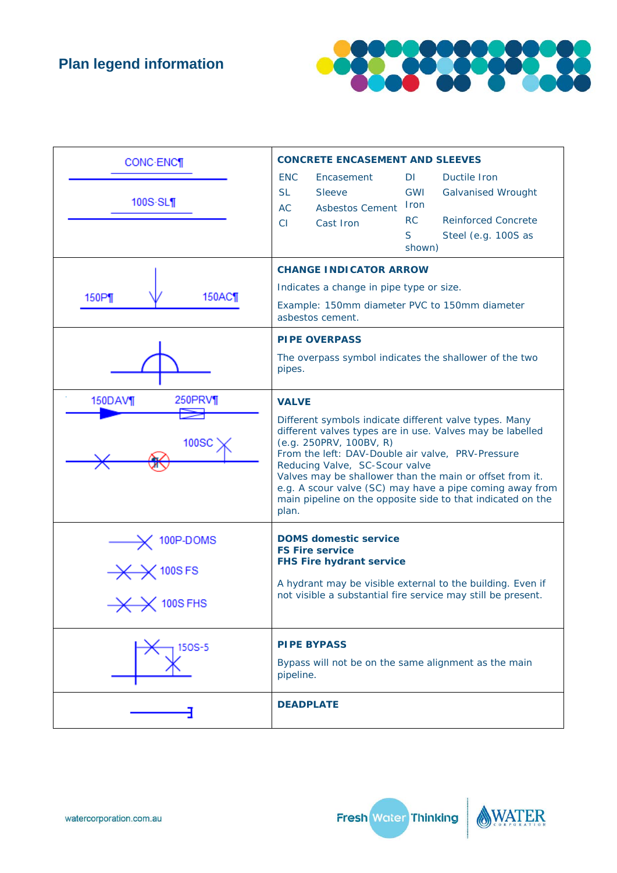

| CONC-ENC¶<br>$100S-SL$                   | <b>CONCRETE ENCASEMENT AND SLEEVES</b><br><b>ENC</b><br>Encasement<br>DI.<br>Ductile Iron<br><b>SL</b><br><b>Sleeve</b><br>GWI<br><b>Galvanised Wrought</b><br><b>Iron</b><br><b>AC</b><br><b>Asbestos Cement</b><br><b>RC</b><br><b>Reinforced Concrete</b><br>CI<br>Cast Iron<br>S<br>Steel (e.g. 100S as<br>shown)                                                                                                                                 |  |  |
|------------------------------------------|-------------------------------------------------------------------------------------------------------------------------------------------------------------------------------------------------------------------------------------------------------------------------------------------------------------------------------------------------------------------------------------------------------------------------------------------------------|--|--|
| 150AC<br>150P                            | <b>CHANGE INDICATOR ARROW</b><br>Indicates a change in pipe type or size.<br>Example: 150mm diameter PVC to 150mm diameter<br>asbestos cement.                                                                                                                                                                                                                                                                                                        |  |  |
|                                          | <b>PIPE OVERPASS</b><br>The overpass symbol indicates the shallower of the two<br>pipes.                                                                                                                                                                                                                                                                                                                                                              |  |  |
| 150DAV¶<br>250PRV¶<br>100SC              | <b>VALVE</b><br>Different symbols indicate different valve types. Many<br>different valves types are in use. Valves may be labelled<br>(e.q. 250PRV, 100BV, R)<br>From the left: DAV-Double air valve, PRV-Pressure<br>Reducing Valve, SC-Scour valve<br>Valves may be shallower than the main or offset from it.<br>e.g. A scour valve (SC) may have a pipe coming away from<br>main pipeline on the opposite side to that indicated on the<br>plan. |  |  |
| 100P-DOMS<br><b>100SFS</b><br>$100S$ FHS | <b>DOMS domestic service</b><br><b>FS Fire service</b><br><b>FHS Fire hydrant service</b><br>A hydrant may be visible external to the building. Even if<br>not visible a substantial fire service may still be present.                                                                                                                                                                                                                               |  |  |
| 150S-5                                   | <b>PIPE BYPASS</b><br>Bypass will not be on the same alignment as the main<br>pipeline.                                                                                                                                                                                                                                                                                                                                                               |  |  |
|                                          | <b>DEADPLATE</b>                                                                                                                                                                                                                                                                                                                                                                                                                                      |  |  |



ER

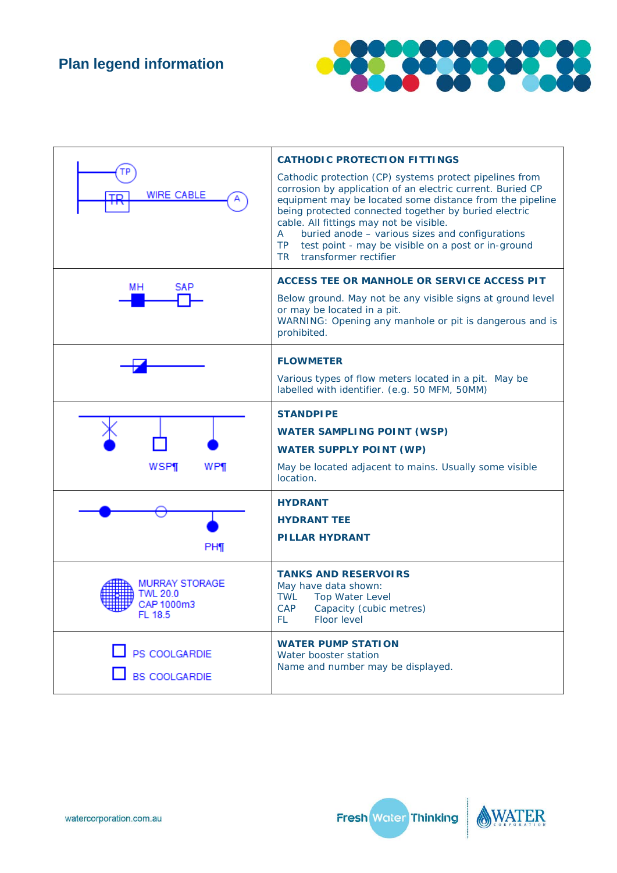

|                                                     | <b>CATHODIC PROTECTION FITTINGS</b>                                                                                                                                                                                                                                                                                                                                                                                                                         |  |  |
|-----------------------------------------------------|-------------------------------------------------------------------------------------------------------------------------------------------------------------------------------------------------------------------------------------------------------------------------------------------------------------------------------------------------------------------------------------------------------------------------------------------------------------|--|--|
| <b>WIRE CABLE</b><br><b>TD</b>                      | Cathodic protection (CP) systems protect pipelines from<br>corrosion by application of an electric current. Buried CP<br>equipment may be located some distance from the pipeline<br>being protected connected together by buried electric<br>cable. All fittings may not be visible.<br>buried anode - various sizes and configurations<br>$\mathsf{A}$<br><b>TP</b><br>test point - may be visible on a post or in-ground<br>transformer rectifier<br>TR. |  |  |
| MН<br>SAP                                           | ACCESS TEE OR MANHOLE OR SERVICE ACCESS PIT                                                                                                                                                                                                                                                                                                                                                                                                                 |  |  |
|                                                     | Below ground. May not be any visible signs at ground level<br>or may be located in a pit.<br>WARNING: Opening any manhole or pit is dangerous and is<br>prohibited.                                                                                                                                                                                                                                                                                         |  |  |
|                                                     | <b>FLOWMETER</b>                                                                                                                                                                                                                                                                                                                                                                                                                                            |  |  |
|                                                     | Various types of flow meters located in a pit. May be<br>labelled with identifier. (e.g. 50 MFM, 50MM)                                                                                                                                                                                                                                                                                                                                                      |  |  |
|                                                     | <b>STANDPIPE</b>                                                                                                                                                                                                                                                                                                                                                                                                                                            |  |  |
|                                                     | <b>WATER SAMPLING POINT (WSP)</b>                                                                                                                                                                                                                                                                                                                                                                                                                           |  |  |
|                                                     | <b>WATER SUPPLY POINT (WP)</b>                                                                                                                                                                                                                                                                                                                                                                                                                              |  |  |
| WSP¶<br>WP¶                                         | May be located adjacent to mains. Usually some visible<br>location.                                                                                                                                                                                                                                                                                                                                                                                         |  |  |
|                                                     | <b>HYDRANT</b>                                                                                                                                                                                                                                                                                                                                                                                                                                              |  |  |
|                                                     | <b>HYDRANT TEE</b>                                                                                                                                                                                                                                                                                                                                                                                                                                          |  |  |
| PH¶                                                 | <b>PILLAR HYDRANT</b>                                                                                                                                                                                                                                                                                                                                                                                                                                       |  |  |
| MURRAY STORAGE<br>TWL 20.0<br>CAP 1000m3<br>FL 18.5 | <b>TANKS AND RESERVOIRS</b><br>May have data shown:<br><b>TWL</b><br><b>Top Water Level</b><br>CAP Capacity (cubic metres)<br>Floor level<br>FL                                                                                                                                                                                                                                                                                                             |  |  |
| PS COOLGARDIE<br><b>BS COOLGARDIE</b>               | <b>WATER PUMP STATION</b><br>Water booster station<br>Name and number may be displayed.                                                                                                                                                                                                                                                                                                                                                                     |  |  |



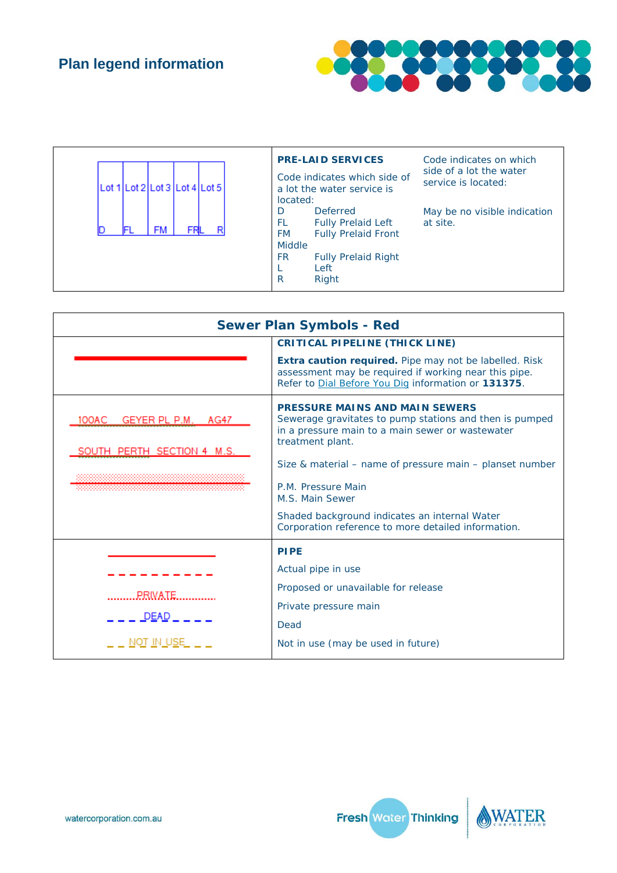

| Lot 1 Lot 2 Lot 3 Lot 4 Lot 5 | <b>PRE-LAID SERVICES</b><br>Code indicates which side of<br>a lot the water service is<br>located:                                                                                   | Code indicates on which<br>side of a lot the water<br>service is located: |
|-------------------------------|--------------------------------------------------------------------------------------------------------------------------------------------------------------------------------------|---------------------------------------------------------------------------|
| R<br>FM                       | <b>Deferred</b><br>D<br><b>Fully Prelaid Left</b><br>FL<br><b>Fully Prelaid Front</b><br><b>FM</b><br><b>Middle</b><br><b>FR</b><br><b>Fully Prelaid Right</b><br>Left<br>Right<br>R | May be no visible indication<br>at site.                                  |

| <b>Sewer Plan Symbols - Red</b>                        |                                                                                                                                                                          |  |
|--------------------------------------------------------|--------------------------------------------------------------------------------------------------------------------------------------------------------------------------|--|
|                                                        | <b>CRITICAL PIPELINE (THICK LINE)</b>                                                                                                                                    |  |
|                                                        | Extra caution required. Pipe may not be labelled. Risk<br>assessment may be required if working near this pipe.<br>Refer to Dial Before You Dig information or 131375.   |  |
| 100AC GEYER PL P.M. AG47<br>SOUTH PERTH SECTION 4 M.S. | <b>PRESSURE MAINS AND MAIN SEWERS</b><br>Sewerage gravitates to pump stations and then is pumped<br>in a pressure main to a main sewer or wastewater<br>treatment plant. |  |
|                                                        | Size & material – name of pressure main – planset number                                                                                                                 |  |
|                                                        | P.M. Pressure Main<br>M.S. Main Sewer                                                                                                                                    |  |
|                                                        | Shaded background indicates an internal Water<br>Corporation reference to more detailed information.                                                                     |  |
|                                                        | <b>PIPE</b>                                                                                                                                                              |  |
|                                                        | Actual pipe in use                                                                                                                                                       |  |
| PRIVATE                                                | Proposed or unavailable for release                                                                                                                                      |  |
|                                                        | Private pressure main                                                                                                                                                    |  |
| $\_$ DEAD $\_$                                         | Dead                                                                                                                                                                     |  |
| NOT IN USE                                             | Not in use (may be used in future)                                                                                                                                       |  |

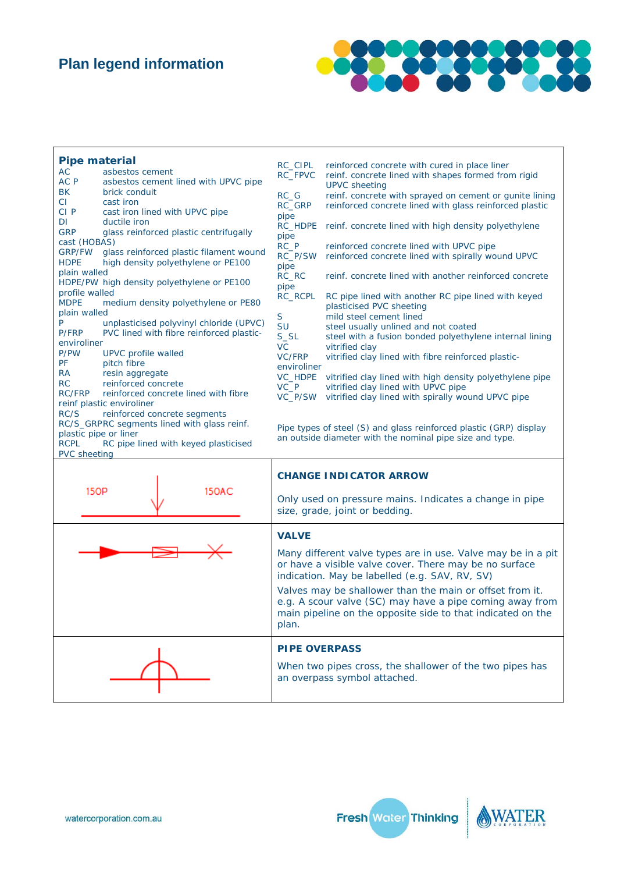### **Plan legend information**



| <b>Pipe material</b><br>AC<br>AC P<br><b>BK</b><br><b>CI</b><br>CI <sub>P</sub><br>DI<br><b>GRP</b><br>cast (HOBAS)<br><b>GRP/FW</b><br><b>HDPE</b><br>plain walled<br>profile walled<br><b>MDPE</b><br>plain walled<br>P<br>P/FRP<br>enviroliner<br>P/PW<br>PF<br><b>RA</b><br>RC<br><b>RC/FRP</b><br>RC/S | asbestos cement<br>asbestos cement lined with UPVC pipe<br>brick conduit<br>cast iron<br>cast iron lined with UPVC pipe<br>ductile iron<br>glass reinforced plastic centrifugally<br>glass reinforced plastic filament wound<br>high density polyethylene or PE100<br>HDPE/PW high density polyethylene or PE100<br>medium density polyethylene or PE80<br>unplasticised polyvinyl chloride (UPVC)<br>PVC lined with fibre reinforced plastic-<br>UPVC profile walled<br>pitch fibre<br>resin aggregate<br>reinforced concrete<br>reinforced concrete lined with fibre<br>reinf plastic enviroliner<br>reinforced concrete segments<br>RC/S_GRPRC segments lined with glass reinf.<br>plastic pipe or liner | RC CIPL<br>RC_FPVC<br>RC G<br>RC GRP<br>pipe<br><b>RC HDPE</b><br>pipe<br>RC P<br>RC_P/SW<br>pipe<br>RC RC<br>pipe<br>RC_RCPL<br>S<br>SU<br>$S_S$<br><b>VC</b><br><b>VC/FRP</b><br>enviroliner<br><b>VC HDPE</b><br>VC P<br>VC P/SW | reinforced concrete with cured in place liner<br>reinf. concrete lined with shapes formed from rigid<br><b>UPVC</b> sheeting<br>reinf. concrete with sprayed on cement or gunite lining<br>reinforced concrete lined with glass reinforced plastic<br>reinf. concrete lined with high density polyethylene<br>reinforced concrete lined with UPVC pipe<br>reinforced concrete lined with spirally wound UPVC<br>reinf. concrete lined with another reinforced concrete<br>RC pipe lined with another RC pipe lined with keyed<br>plasticised PVC sheeting<br>mild steel cement lined<br>steel usually unlined and not coated<br>steel with a fusion bonded polyethylene internal lining<br>vitrified clay<br>vitrified clay lined with fibre reinforced plastic-<br>vitrified clay lined with high density polyethylene pipe<br>vitrified clay lined with UPVC pipe<br>vitrified clay lined with spirally wound UPVC pipe<br>Pipe types of steel (S) and glass reinforced plastic (GRP) display<br>an outside diameter with the nominal pipe size and type. |
|-------------------------------------------------------------------------------------------------------------------------------------------------------------------------------------------------------------------------------------------------------------------------------------------------------------|-------------------------------------------------------------------------------------------------------------------------------------------------------------------------------------------------------------------------------------------------------------------------------------------------------------------------------------------------------------------------------------------------------------------------------------------------------------------------------------------------------------------------------------------------------------------------------------------------------------------------------------------------------------------------------------------------------------|-------------------------------------------------------------------------------------------------------------------------------------------------------------------------------------------------------------------------------------|-------------------------------------------------------------------------------------------------------------------------------------------------------------------------------------------------------------------------------------------------------------------------------------------------------------------------------------------------------------------------------------------------------------------------------------------------------------------------------------------------------------------------------------------------------------------------------------------------------------------------------------------------------------------------------------------------------------------------------------------------------------------------------------------------------------------------------------------------------------------------------------------------------------------------------------------------------------------------------------------------------------------------------------------------------------|
| <b>RCPL</b><br><b>PVC</b> sheeting                                                                                                                                                                                                                                                                          | RC pipe lined with keyed plasticised                                                                                                                                                                                                                                                                                                                                                                                                                                                                                                                                                                                                                                                                        |                                                                                                                                                                                                                                     |                                                                                                                                                                                                                                                                                                                                                                                                                                                                                                                                                                                                                                                                                                                                                                                                                                                                                                                                                                                                                                                             |
|                                                                                                                                                                                                                                                                                                             |                                                                                                                                                                                                                                                                                                                                                                                                                                                                                                                                                                                                                                                                                                             |                                                                                                                                                                                                                                     |                                                                                                                                                                                                                                                                                                                                                                                                                                                                                                                                                                                                                                                                                                                                                                                                                                                                                                                                                                                                                                                             |
|                                                                                                                                                                                                                                                                                                             |                                                                                                                                                                                                                                                                                                                                                                                                                                                                                                                                                                                                                                                                                                             |                                                                                                                                                                                                                                     | <b>CHANGE INDICATOR ARROW</b>                                                                                                                                                                                                                                                                                                                                                                                                                                                                                                                                                                                                                                                                                                                                                                                                                                                                                                                                                                                                                               |
| <b>15OP</b>                                                                                                                                                                                                                                                                                                 | <b>150AC</b>                                                                                                                                                                                                                                                                                                                                                                                                                                                                                                                                                                                                                                                                                                |                                                                                                                                                                                                                                     |                                                                                                                                                                                                                                                                                                                                                                                                                                                                                                                                                                                                                                                                                                                                                                                                                                                                                                                                                                                                                                                             |
|                                                                                                                                                                                                                                                                                                             |                                                                                                                                                                                                                                                                                                                                                                                                                                                                                                                                                                                                                                                                                                             |                                                                                                                                                                                                                                     | Only used on pressure mains. Indicates a change in pipe<br>size, grade, joint or bedding.                                                                                                                                                                                                                                                                                                                                                                                                                                                                                                                                                                                                                                                                                                                                                                                                                                                                                                                                                                   |

#### **VALVE**

Many different valve types are in use. Valve may be in a pit or have a visible valve cover. There may be no surface indication. May be labelled (e.g. SAV, RV, SV)

Valves may be shallower than the main or offset from it. e.g. A scour valve (SC) may have a pipe coming away from main pipeline on the opposite side to that indicated on the plan.

# **PIPE OVERPASS**

When two pipes cross, the shallower of the two pipes has an overpass symbol attached.



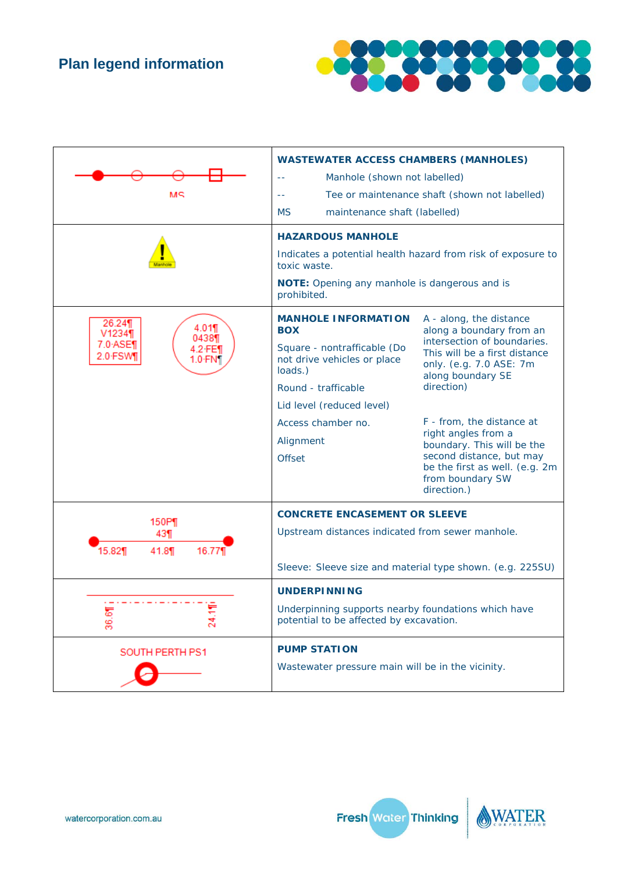

| MЯ                                                                                | <b>WASTEWATER ACCESS CHAMBERS (MANHOLES)</b><br>Manhole (shown not labelled)<br>Tee or maintenance shaft (shown not labelled)<br>44<br><b>MS</b><br>maintenance shaft (labelled)<br><b>HAZARDOUS MANHOLE</b><br>Indicates a potential health hazard from risk of exposure to<br>toxic waste.<br>NOTE: Opening any manhole is dangerous and is<br>prohibited. |                                                                                                                                                                                                                                                                                                                                                                      |
|-----------------------------------------------------------------------------------|--------------------------------------------------------------------------------------------------------------------------------------------------------------------------------------------------------------------------------------------------------------------------------------------------------------------------------------------------------------|----------------------------------------------------------------------------------------------------------------------------------------------------------------------------------------------------------------------------------------------------------------------------------------------------------------------------------------------------------------------|
| 26.24¶<br>4.01¶<br>V1234¶<br>0438¶<br>$7.0 - ASE$<br>.2 FE¶<br>2.0 FSW<br>1.0 FN1 | <b>MANHOLE INFORMATION</b><br><b>BOX</b><br>Square - nontrafficable (Do<br>not drive vehicles or place<br>loads.)<br>Round - trafficable<br>Lid level (reduced level)<br>Access chamber no.<br>Alignment<br><b>Offset</b>                                                                                                                                    | A - along, the distance<br>along a boundary from an<br>intersection of boundaries.<br>This will be a first distance<br>only. (e.g. 7.0 ASE: 7m<br>along boundary SE<br>direction)<br>F - from, the distance at<br>right angles from a<br>boundary. This will be the<br>second distance, but may<br>be the first as well. (e.g. 2m<br>from boundary SW<br>direction.) |
| 150P¶<br>43¶<br>15.82¶<br>41.8¶<br>16.77¶                                         | <b>CONCRETE ENCASEMENT OR SLEEVE</b><br>Upstream distances indicated from sewer manhole.<br>Sleeve: Sleeve size and material type shown. (e.g. 225SU)                                                                                                                                                                                                        |                                                                                                                                                                                                                                                                                                                                                                      |
| 36.6<br>24,                                                                       | <b>UNDERPINNING</b><br>Underpinning supports nearby foundations which have<br>potential to be affected by excavation.                                                                                                                                                                                                                                        |                                                                                                                                                                                                                                                                                                                                                                      |
| SOUTH PERTH PS1                                                                   | <b>PUMP STATION</b><br>Wastewater pressure main will be in the vicinity.                                                                                                                                                                                                                                                                                     |                                                                                                                                                                                                                                                                                                                                                                      |

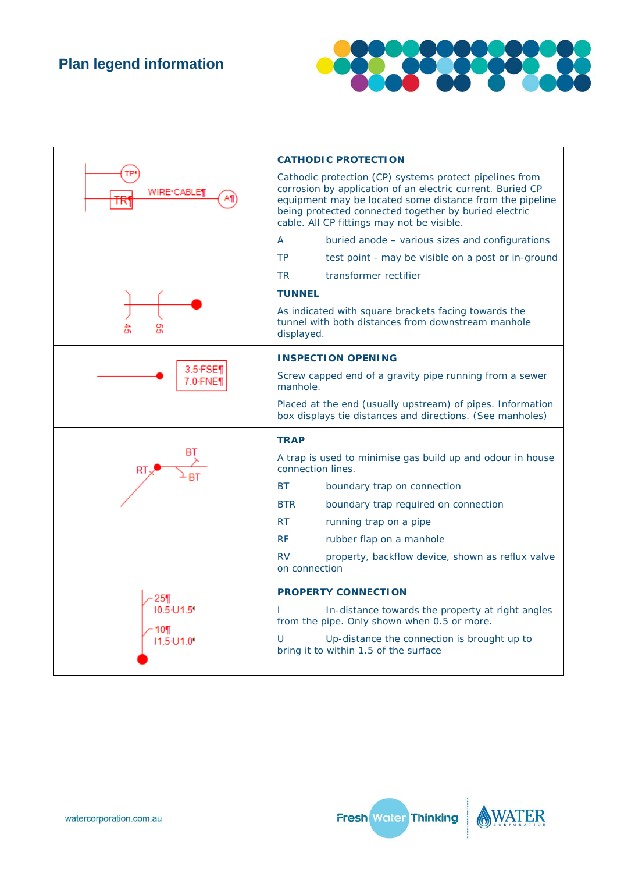

|                  | <b>CATHODIC PROTECTION</b>                                                                                                                                                                                                                                                               |  |  |
|------------------|------------------------------------------------------------------------------------------------------------------------------------------------------------------------------------------------------------------------------------------------------------------------------------------|--|--|
| WIRE•CABLE¶      | Cathodic protection (CP) systems protect pipelines from<br>corrosion by application of an electric current. Buried CP<br>equipment may be located some distance from the pipeline<br>being protected connected together by buried electric<br>cable. All CP fittings may not be visible. |  |  |
|                  | buried anode - various sizes and configurations<br>A                                                                                                                                                                                                                                     |  |  |
|                  | <b>TP</b><br>test point - may be visible on a post or in-ground                                                                                                                                                                                                                          |  |  |
|                  | <b>TR</b><br>transformer rectifier                                                                                                                                                                                                                                                       |  |  |
|                  | <b>TUNNEL</b>                                                                                                                                                                                                                                                                            |  |  |
|                  | As indicated with square brackets facing towards the<br>tunnel with both distances from downstream manhole<br>displayed.                                                                                                                                                                 |  |  |
|                  | <b>INSPECTION OPENING</b>                                                                                                                                                                                                                                                                |  |  |
| 7.0 FNE1         | Screw capped end of a gravity pipe running from a sewer<br>manhole.                                                                                                                                                                                                                      |  |  |
|                  | Placed at the end (usually upstream) of pipes. Information<br>box displays tie distances and directions. (See manholes)                                                                                                                                                                  |  |  |
|                  | <b>TRAP</b>                                                                                                                                                                                                                                                                              |  |  |
|                  | A trap is used to minimise gas build up and odour in house<br>connection lines.                                                                                                                                                                                                          |  |  |
|                  | ВT<br>boundary trap on connection                                                                                                                                                                                                                                                        |  |  |
|                  | <b>BTR</b><br>boundary trap required on connection                                                                                                                                                                                                                                       |  |  |
|                  | <b>RT</b><br>running trap on a pipe                                                                                                                                                                                                                                                      |  |  |
|                  | <b>RF</b><br>rubber flap on a manhole                                                                                                                                                                                                                                                    |  |  |
|                  | <b>RV</b><br>property, backflow device, shown as reflux valve<br>on connection                                                                                                                                                                                                           |  |  |
| 25¶              | <b>PROPERTY CONNECTION</b>                                                                                                                                                                                                                                                               |  |  |
| 10.5 U1.5<br>10¶ | In-distance towards the property at right angles<br>L<br>from the pipe. Only shown when 0.5 or more.                                                                                                                                                                                     |  |  |
| 11.5 U1.0        | Up-distance the connection is brought up to<br>U<br>bring it to within 1.5 of the surface                                                                                                                                                                                                |  |  |

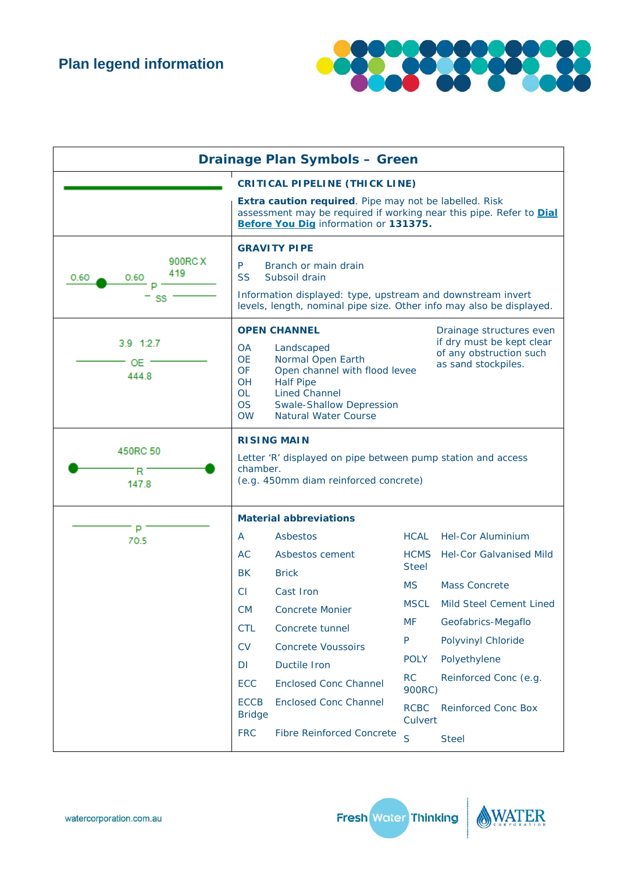

| <b>Drainage Plan Symbols - Green</b>  |                                                                                                                                                                                                                                                                                                                                                                                                      |                                           |                             |                                |
|---------------------------------------|------------------------------------------------------------------------------------------------------------------------------------------------------------------------------------------------------------------------------------------------------------------------------------------------------------------------------------------------------------------------------------------------------|-------------------------------------------|-----------------------------|--------------------------------|
| <b>CRITICAL PIPELINE (THICK LINE)</b> |                                                                                                                                                                                                                                                                                                                                                                                                      |                                           |                             |                                |
|                                       | Extra caution required. Pipe may not be labelled. Risk<br>assessment may be required if working near this pipe. Refer to <b>Dial</b><br>Before You Dig information or 131375.                                                                                                                                                                                                                        |                                           |                             |                                |
| 900RC X<br>419<br>0.60<br>0.60<br>SS  | <b>GRAVITY PIPE</b><br>P<br>Branch or main drain<br><b>SS</b><br>Subsoil drain<br>Information displayed: type, upstream and downstream invert<br>levels, length, nominal pipe size. Other info may also be displayed.                                                                                                                                                                                |                                           |                             |                                |
| 3.9 1:2.7<br>OE.<br>444.8             | <b>OPEN CHANNEL</b><br>Drainage structures even<br>if dry must be kept clear<br><b>OA</b><br>Landscaped<br>of any obstruction such<br><b>OE</b><br>Normal Open Earth<br>as sand stockpiles.<br>OF<br>Open channel with flood levee<br><b>Half Pipe</b><br><b>OH</b><br><b>OL</b><br><b>Lined Channel</b><br><b>OS</b><br><b>Swale-Shallow Depression</b><br><b>OW</b><br><b>Natural Water Course</b> |                                           |                             |                                |
| 450RC 50<br>R<br>147.8                | <b>RISING MAIN</b><br>Letter 'R' displayed on pipe between pump station and access<br>chamber.<br>(e.g. 450mm diam reinforced concrete)                                                                                                                                                                                                                                                              |                                           |                             |                                |
|                                       | <b>Material abbreviations</b>                                                                                                                                                                                                                                                                                                                                                                        |                                           |                             |                                |
| P<br>70.5                             | A                                                                                                                                                                                                                                                                                                                                                                                                    | Asbestos                                  | <b>HCAL</b>                 | <b>Hel-Cor Aluminium</b>       |
|                                       | AC<br><b>BK</b>                                                                                                                                                                                                                                                                                                                                                                                      | Asbestos cement<br><b>Brick</b>           | <b>HCMS</b><br><b>Steel</b> | <b>Hel-Cor Galvanised Mild</b> |
|                                       | СI                                                                                                                                                                                                                                                                                                                                                                                                   | Cast Iron                                 | <b>MS</b>                   | <b>Mass Concrete</b>           |
|                                       |                                                                                                                                                                                                                                                                                                                                                                                                      |                                           | <b>MSCL</b>                 | Mild Steel Cement Lined        |
|                                       | СM<br><b>CTL</b>                                                                                                                                                                                                                                                                                                                                                                                     | <b>Concrete Monier</b><br>Concrete tunnel | <b>MF</b>                   | Geofabrics-Megaflo             |
|                                       | CV                                                                                                                                                                                                                                                                                                                                                                                                   | <b>Concrete Voussoirs</b>                 | P                           | Polyvinyl Chloride             |
|                                       | DI                                                                                                                                                                                                                                                                                                                                                                                                   | Ductile Iron                              | <b>POLY</b>                 | Polyethylene                   |
|                                       | ECC                                                                                                                                                                                                                                                                                                                                                                                                  | <b>Enclosed Conc Channel</b>              | <b>RC</b>                   | Reinforced Conc (e.g.          |
|                                       | 900RC)<br><b>ECCB</b><br><b>Enclosed Conc Channel</b><br><b>RCBC</b><br><b>Reinforced Conc Box</b><br><b>Bridge</b>                                                                                                                                                                                                                                                                                  |                                           |                             |                                |
|                                       | <b>FRC</b>                                                                                                                                                                                                                                                                                                                                                                                           | <b>Fibre Reinforced Concrete</b>          | Culvert<br>S                | <b>Steel</b>                   |



ER

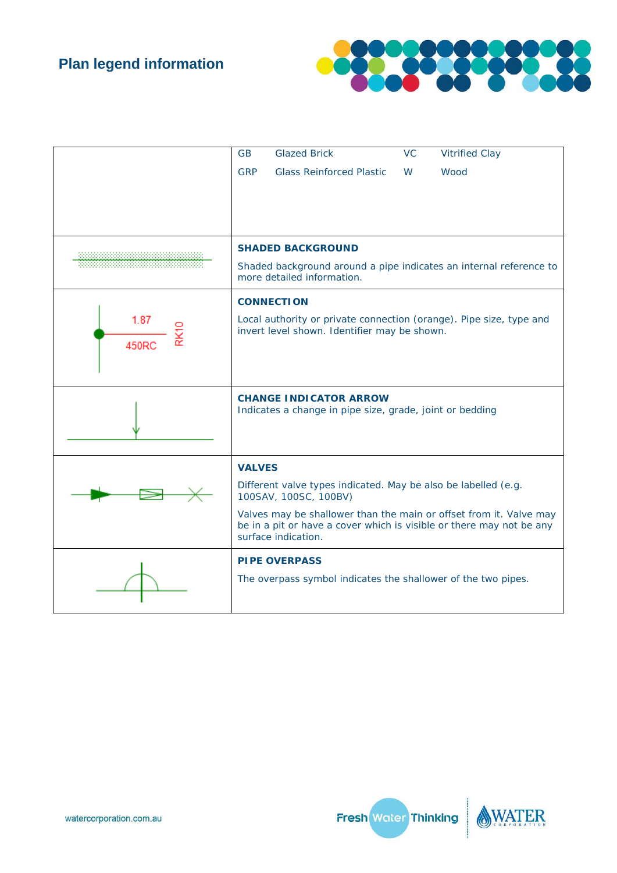

|       | <b>GB</b>     | <b>Glazed Brick</b>                                                                     | <b>VC</b> | <b>Vitrified Clay</b>                                              |
|-------|---------------|-----------------------------------------------------------------------------------------|-----------|--------------------------------------------------------------------|
|       | <b>GRP</b>    | <b>Glass Reinforced Plastic</b>                                                         | W         | Wood                                                               |
|       |               |                                                                                         |           |                                                                    |
|       |               |                                                                                         |           |                                                                    |
|       |               |                                                                                         |           |                                                                    |
|       |               | <b>SHADED BACKGROUND</b>                                                                |           |                                                                    |
|       |               | more detailed information.                                                              |           | Shaded background around a pipe indicates an internal reference to |
|       |               | <b>CONNECTION</b>                                                                       |           |                                                                    |
| 1.87  |               | Local authority or private connection (orange). Pipe size, type and                     |           |                                                                    |
| 450RC |               | invert level shown. Identifier may be shown.                                            |           |                                                                    |
|       |               |                                                                                         |           |                                                                    |
|       |               |                                                                                         |           |                                                                    |
|       |               | <b>CHANGE INDICATOR ARROW</b>                                                           |           |                                                                    |
|       |               | Indicates a change in pipe size, grade, joint or bedding                                |           |                                                                    |
|       |               |                                                                                         |           |                                                                    |
|       | <b>VALVES</b> |                                                                                         |           |                                                                    |
|       |               | Different valve types indicated. May be also be labelled (e.g.<br>100SAV, 100SC, 100BV) |           |                                                                    |
|       |               | be in a pit or have a cover which is visible or there may not be any                    |           | Valves may be shallower than the main or offset from it. Valve may |
|       |               | surface indication.                                                                     |           |                                                                    |
|       |               | <b>PIPE OVERPASS</b>                                                                    |           |                                                                    |
|       |               | The overpass symbol indicates the shallower of the two pipes.                           |           |                                                                    |
|       |               |                                                                                         |           |                                                                    |



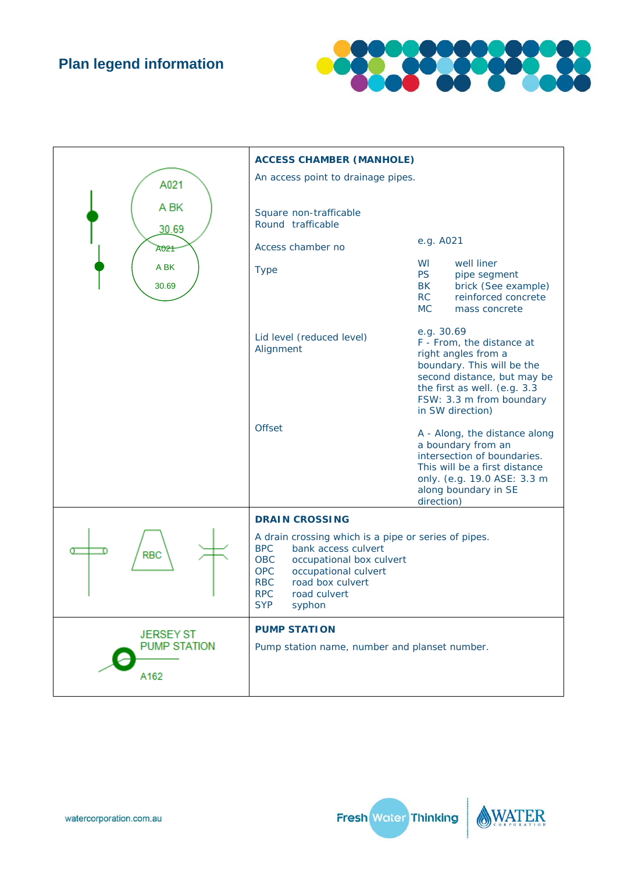## **Plan legend information**



|                                                 | <b>ACCESS CHAMBER (MANHOLE)</b>                                                                                                                                                                                                                                   |                                                                                                                                                                                                             |
|-------------------------------------------------|-------------------------------------------------------------------------------------------------------------------------------------------------------------------------------------------------------------------------------------------------------------------|-------------------------------------------------------------------------------------------------------------------------------------------------------------------------------------------------------------|
| A021                                            | An access point to drainage pipes.                                                                                                                                                                                                                                |                                                                                                                                                                                                             |
| A BK<br>30.69                                   | Square non-trafficable<br>Round trafficable                                                                                                                                                                                                                       |                                                                                                                                                                                                             |
| A021                                            | Access chamber no                                                                                                                                                                                                                                                 | e.g. A021                                                                                                                                                                                                   |
| A BK<br>30.69                                   | <b>Type</b>                                                                                                                                                                                                                                                       | well liner<br>WI<br><b>PS</b><br>pipe segment<br>BK<br>brick (See example)<br>RC<br>reinforced concrete<br><b>MC</b><br>mass concrete                                                                       |
|                                                 | Lid level (reduced level)<br>Alignment                                                                                                                                                                                                                            | e.g. 30.69<br>F - From, the distance at<br>right angles from a<br>boundary. This will be the<br>second distance, but may be<br>the first as well. (e.g. 3.3<br>FSW: 3.3 m from boundary<br>in SW direction) |
|                                                 | <b>Offset</b>                                                                                                                                                                                                                                                     | A - Along, the distance along<br>a boundary from an<br>intersection of boundaries.<br>This will be a first distance<br>only. (e.g. 19.0 ASE: 3.3 m<br>along boundary in SE<br>direction)                    |
|                                                 | <b>DRAIN CROSSING</b>                                                                                                                                                                                                                                             |                                                                                                                                                                                                             |
| <b>RBC</b>                                      | A drain crossing which is a pipe or series of pipes.<br><b>BPC</b><br>bank access culvert<br><b>OBC</b><br>occupational box culvert<br><b>OPC</b><br>occupational culvert<br><b>RBC</b><br>road box culvert<br><b>RPC</b><br>road culvert<br><b>SYP</b><br>syphon |                                                                                                                                                                                                             |
| <b>JERSEY ST</b><br><b>PUMP STATION</b><br>A162 | <b>PUMP STATION</b><br>Pump station name, number and planset number.                                                                                                                                                                                              |                                                                                                                                                                                                             |